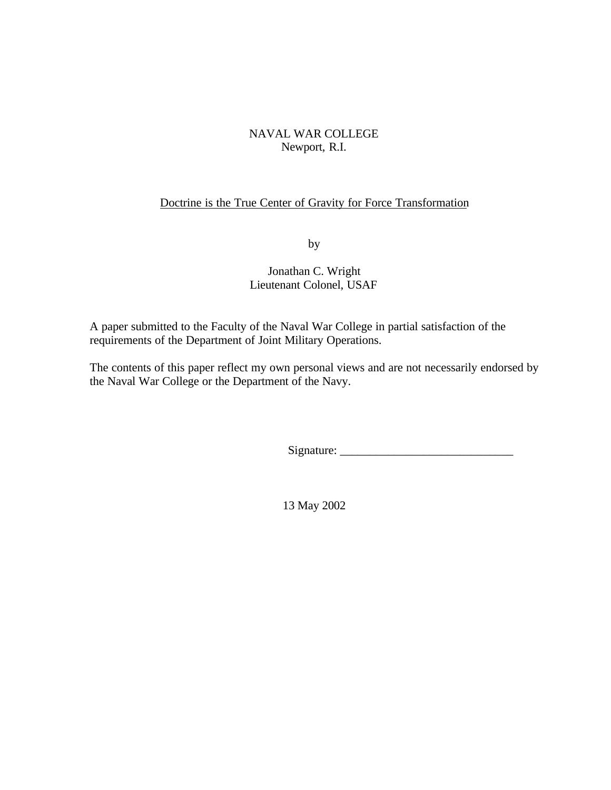# NAVAL WAR COLLEGE Newport, R.I.

# Doctrine is the True Center of Gravity for Force Transformation

by

# Jonathan C. Wright Lieutenant Colonel, USAF

A paper submitted to the Faculty of the Naval War College in partial satisfaction of the requirements of the Department of Joint Military Operations.

The contents of this paper reflect my own personal views and are not necessarily endorsed by the Naval War College or the Department of the Navy.

 $Signature:$ 

13 May 2002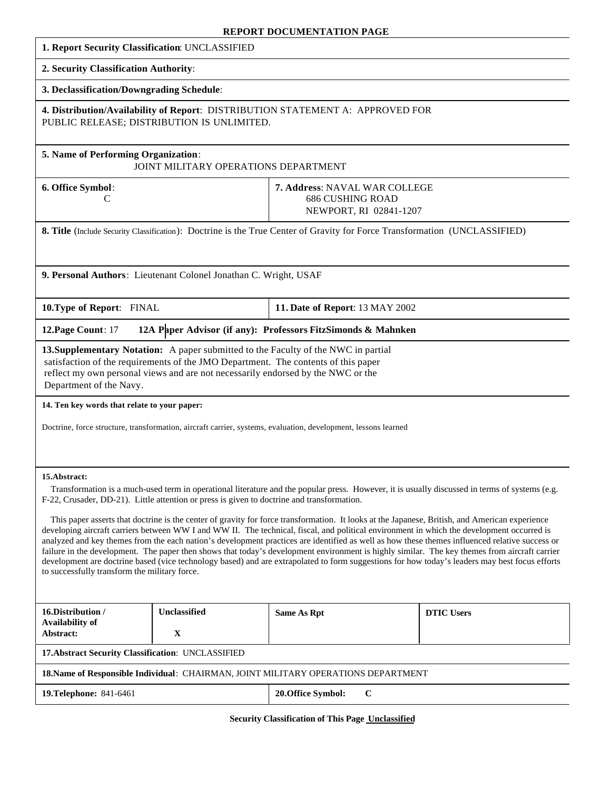#### **REPORT DOCUMENTATION PAGE**

| 1. Report Security Classification: UNCLASSIFIED                                                                                                                                                                                                                                                                                                                                                                                                                                                                                                                                                                                                                                                                                                                                                                                                                                                                                                                                                                                                                    |              |                                                                                    |                   |
|--------------------------------------------------------------------------------------------------------------------------------------------------------------------------------------------------------------------------------------------------------------------------------------------------------------------------------------------------------------------------------------------------------------------------------------------------------------------------------------------------------------------------------------------------------------------------------------------------------------------------------------------------------------------------------------------------------------------------------------------------------------------------------------------------------------------------------------------------------------------------------------------------------------------------------------------------------------------------------------------------------------------------------------------------------------------|--------------|------------------------------------------------------------------------------------|-------------------|
| 2. Security Classification Authority:                                                                                                                                                                                                                                                                                                                                                                                                                                                                                                                                                                                                                                                                                                                                                                                                                                                                                                                                                                                                                              |              |                                                                                    |                   |
| 3. Declassification/Downgrading Schedule:                                                                                                                                                                                                                                                                                                                                                                                                                                                                                                                                                                                                                                                                                                                                                                                                                                                                                                                                                                                                                          |              |                                                                                    |                   |
| 4. Distribution/Availability of Report: DISTRIBUTION STATEMENT A: APPROVED FOR<br>PUBLIC RELEASE; DISTRIBUTION IS UNLIMITED.                                                                                                                                                                                                                                                                                                                                                                                                                                                                                                                                                                                                                                                                                                                                                                                                                                                                                                                                       |              |                                                                                    |                   |
| 5. Name of Performing Organization:<br>JOINT MILITARY OPERATIONS DEPARTMENT                                                                                                                                                                                                                                                                                                                                                                                                                                                                                                                                                                                                                                                                                                                                                                                                                                                                                                                                                                                        |              |                                                                                    |                   |
| 6. Office Symbol:<br>С                                                                                                                                                                                                                                                                                                                                                                                                                                                                                                                                                                                                                                                                                                                                                                                                                                                                                                                                                                                                                                             |              | 7. Address: NAVAL WAR COLLEGE<br><b>686 CUSHING ROAD</b><br>NEWPORT, RI 02841-1207 |                   |
| 8. Title (Include Security Classification): Doctrine is the True Center of Gravity for Force Transformation (UNCLASSIFIED)                                                                                                                                                                                                                                                                                                                                                                                                                                                                                                                                                                                                                                                                                                                                                                                                                                                                                                                                         |              |                                                                                    |                   |
|                                                                                                                                                                                                                                                                                                                                                                                                                                                                                                                                                                                                                                                                                                                                                                                                                                                                                                                                                                                                                                                                    |              |                                                                                    |                   |
| 9. Personal Authors: Lieutenant Colonel Jonathan C. Wright, USAF                                                                                                                                                                                                                                                                                                                                                                                                                                                                                                                                                                                                                                                                                                                                                                                                                                                                                                                                                                                                   |              |                                                                                    |                   |
| 10. Type of Report: FINAL                                                                                                                                                                                                                                                                                                                                                                                                                                                                                                                                                                                                                                                                                                                                                                                                                                                                                                                                                                                                                                          |              | 11. Date of Report: 13 MAY 2002                                                    |                   |
| 12A Paper Advisor (if any): Professors FitzSimonds & Mahnken<br>12. Page Count: 17                                                                                                                                                                                                                                                                                                                                                                                                                                                                                                                                                                                                                                                                                                                                                                                                                                                                                                                                                                                 |              |                                                                                    |                   |
| 13. Supplementary Notation: A paper submitted to the Faculty of the NWC in partial<br>satisfaction of the requirements of the JMO Department. The contents of this paper<br>reflect my own personal views and are not necessarily endorsed by the NWC or the<br>Department of the Navy.                                                                                                                                                                                                                                                                                                                                                                                                                                                                                                                                                                                                                                                                                                                                                                            |              |                                                                                    |                   |
| 14. Ten key words that relate to your paper:                                                                                                                                                                                                                                                                                                                                                                                                                                                                                                                                                                                                                                                                                                                                                                                                                                                                                                                                                                                                                       |              |                                                                                    |                   |
| Doctrine, force structure, transformation, aircraft carrier, systems, evaluation, development, lessons learned                                                                                                                                                                                                                                                                                                                                                                                                                                                                                                                                                                                                                                                                                                                                                                                                                                                                                                                                                     |              |                                                                                    |                   |
|                                                                                                                                                                                                                                                                                                                                                                                                                                                                                                                                                                                                                                                                                                                                                                                                                                                                                                                                                                                                                                                                    |              |                                                                                    |                   |
| 15.Abstract:<br>Transformation is a much-used term in operational literature and the popular press. However, it is usually discussed in terms of systems (e.g.<br>F-22, Crusader, DD-21). Little attention or press is given to doctrine and transformation.<br>This paper asserts that doctrine is the center of gravity for force transformation. It looks at the Japanese, British, and American experience<br>developing aircraft carriers between WW I and WW II. The technical, fiscal, and political environment in which the development occurred is<br>analyzed and key themes from the each nation's development practices are identified as well as how these themes influenced relative success or<br>failure in the development. The paper then shows that today's development environment is highly similar. The key themes from aircraft carrier<br>development are doctrine based (vice technology based) and are extrapolated to form suggestions for how today's leaders may best focus efforts<br>to successfully transform the military force. |              |                                                                                    |                   |
| 16.Distribution /<br><b>Availability of</b>                                                                                                                                                                                                                                                                                                                                                                                                                                                                                                                                                                                                                                                                                                                                                                                                                                                                                                                                                                                                                        | Unclassified | <b>Same As Rpt</b>                                                                 | <b>DTIC Users</b> |
| Abstract:                                                                                                                                                                                                                                                                                                                                                                                                                                                                                                                                                                                                                                                                                                                                                                                                                                                                                                                                                                                                                                                          | $\mathbf X$  |                                                                                    |                   |
| 17. Abstract Security Classification: UNCLASSIFIED                                                                                                                                                                                                                                                                                                                                                                                                                                                                                                                                                                                                                                                                                                                                                                                                                                                                                                                                                                                                                 |              |                                                                                    |                   |
| 18. Name of Responsible Individual: CHAIRMAN, JOINT MILITARY OPERATIONS DEPARTMENT                                                                                                                                                                                                                                                                                                                                                                                                                                                                                                                                                                                                                                                                                                                                                                                                                                                                                                                                                                                 |              |                                                                                    |                   |
| <b>19. Telephone: 841-6461</b>                                                                                                                                                                                                                                                                                                                                                                                                                                                                                                                                                                                                                                                                                                                                                                                                                                                                                                                                                                                                                                     |              | 20. Office Symbol:<br>$\bf C$                                                      |                   |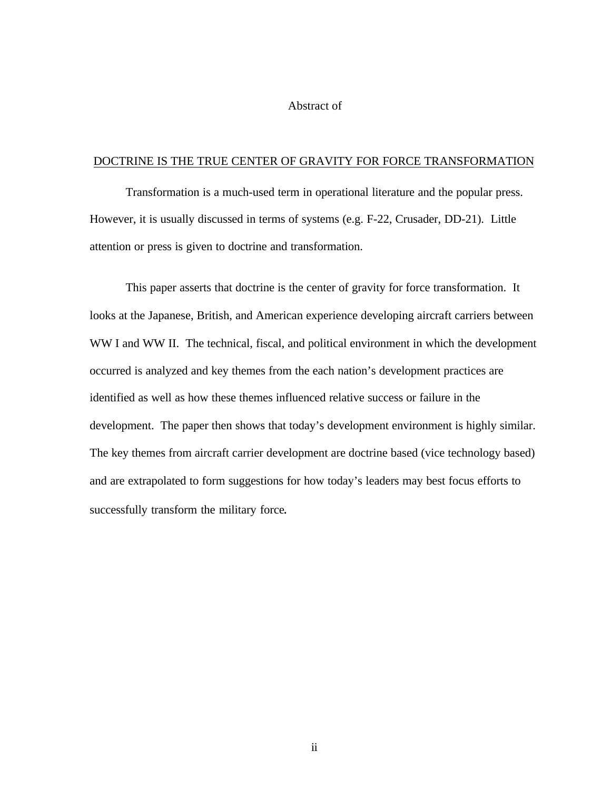### Abstract of

#### DOCTRINE IS THE TRUE CENTER OF GRAVITY FOR FORCE TRANSFORMATION

Transformation is a much-used term in operational literature and the popular press. However, it is usually discussed in terms of systems (e.g. F-22, Crusader, DD-21). Little attention or press is given to doctrine and transformation.

This paper asserts that doctrine is the center of gravity for force transformation. It looks at the Japanese, British, and American experience developing aircraft carriers between WW I and WW II. The technical, fiscal, and political environment in which the development occurred is analyzed and key themes from the each nation's development practices are identified as well as how these themes influenced relative success or failure in the development. The paper then shows that today's development environment is highly similar. The key themes from aircraft carrier development are doctrine based (vice technology based) and are extrapolated to form suggestions for how today's leaders may best focus efforts to successfully transform the military force.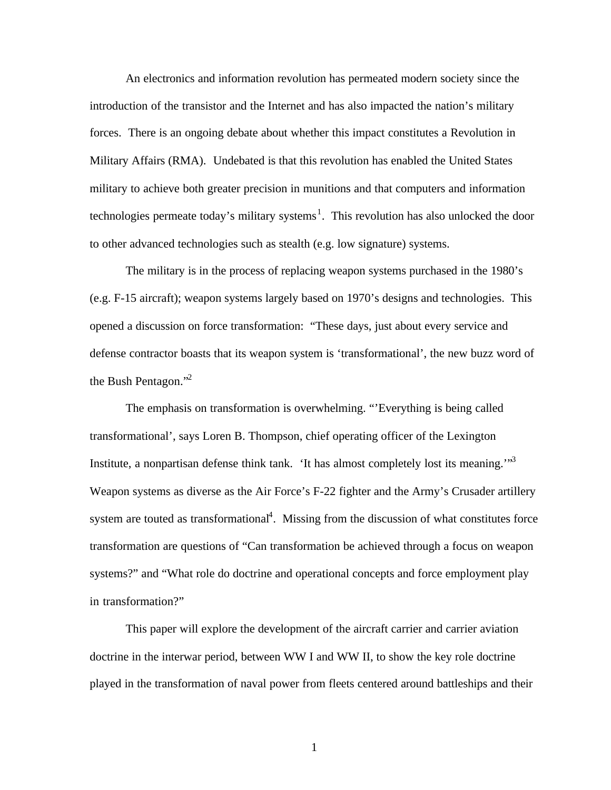An electronics and information revolution has permeated modern society since the introduction of the transistor and the Internet and has also impacted the nation's military forces. There is an ongoing debate about whether this impact constitutes a Revolution in Military Affairs (RMA). Undebated is that this revolution has enabled the United States military to achieve both greater precision in munitions and that computers and information technologies permeate today's military systems<sup>1</sup>. This revolution has also unlocked the door to other advanced technologies such as stealth (e.g. low signature) systems.

The military is in the process of replacing weapon systems purchased in the 1980's (e.g. F-15 aircraft); weapon systems largely based on 1970's designs and technologies. This opened a discussion on force transformation: "These days, just about every service and defense contractor boasts that its weapon system is 'transformational', the new buzz word of the Bush Pentagon."<sup>2</sup>

The emphasis on transformation is overwhelming. "'Everything is being called transformational', says Loren B. Thompson, chief operating officer of the Lexington Institute, a nonpartisan defense think tank. 'It has almost completely lost its meaning.'"<sup>3</sup> Weapon systems as diverse as the Air Force's F-22 fighter and the Army's Crusader artillery system are touted as transformational<sup>4</sup>. Missing from the discussion of what constitutes force transformation are questions of "Can transformation be achieved through a focus on weapon systems?" and "What role do doctrine and operational concepts and force employment play in transformation?"

This paper will explore the development of the aircraft carrier and carrier aviation doctrine in the interwar period, between WW I and WW II, to show the key role doctrine played in the transformation of naval power from fleets centered around battleships and their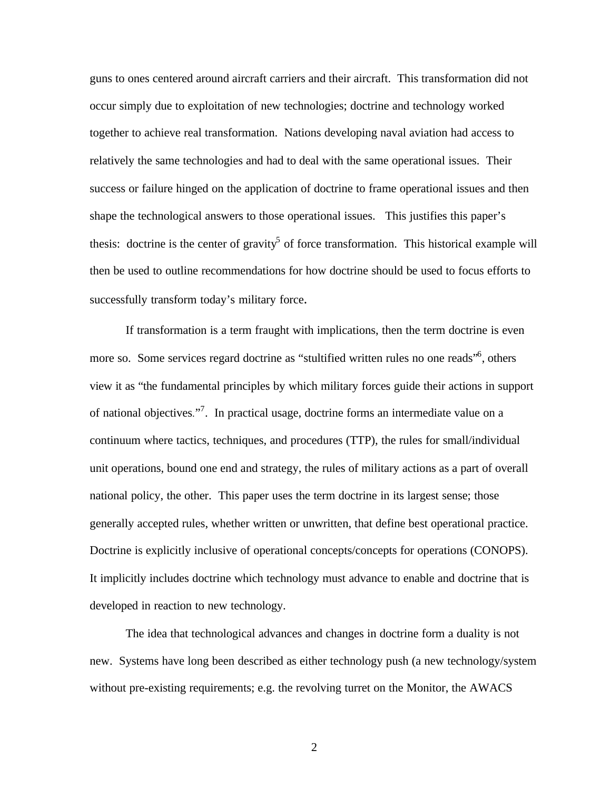guns to ones centered around aircraft carriers and their aircraft. This transformation did not occur simply due to exploitation of new technologies; doctrine and technology worked together to achieve real transformation. Nations developing naval aviation had access to relatively the same technologies and had to deal with the same operational issues. Their success or failure hinged on the application of doctrine to frame operational issues and then shape the technological answers to those operational issues. This justifies this paper's thesis: doctrine is the center of gravity<sup>5</sup> of force transformation. This historical example will then be used to outline recommendations for how doctrine should be used to focus efforts to successfully transform today's military force.

If transformation is a term fraught with implications, then the term doctrine is even more so. Some services regard doctrine as "stultified written rules no one reads"<sup>6</sup>, others view it as "the fundamental principles by which military forces guide their actions in support of national objectives."<sup>7</sup>. In practical usage, doctrine forms an intermediate value on a continuum where tactics, techniques, and procedures (TTP), the rules for small/individual unit operations, bound one end and strategy, the rules of military actions as a part of overall national policy, the other. This paper uses the term doctrine in its largest sense; those generally accepted rules, whether written or unwritten, that define best operational practice. Doctrine is explicitly inclusive of operational concepts/concepts for operations (CONOPS). It implicitly includes doctrine which technology must advance to enable and doctrine that is developed in reaction to new technology.

The idea that technological advances and changes in doctrine form a duality is not new. Systems have long been described as either technology push (a new technology/system without pre-existing requirements; e.g. the revolving turret on the Monitor, the AWACS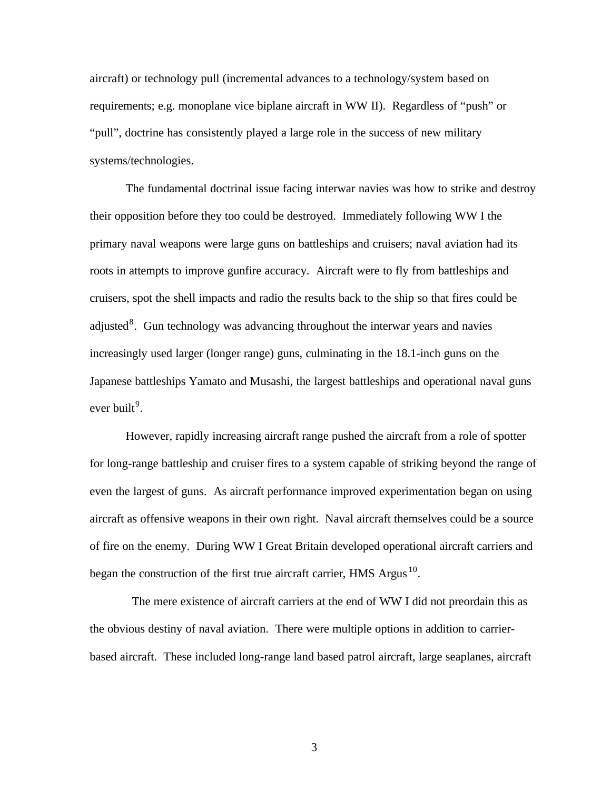aircraft) or technology pull (incremental advances to a technology/system based on requirements; e.g. monoplane vice biplane aircraft in WW II). Regardless of "push" or "pull", doctrine has consistently played a large role in the success of new military systems/technologies.

The fundamental doctrinal issue facing interwar navies was how to strike and destroy their opposition before they too could be destroyed. Immediately following WW I the primary naval weapons were large guns on battleships and cruisers; naval aviation had its roots in attempts to improve gunfire accuracy. Aircraft were to fly from battleships and cruisers, spot the shell impacts and radio the results back to the ship so that fires could be adjusted $8$ . Gun technology was advancing throughout the interwar years and navies increasingly used larger (longer range) guns, culminating in the 18.1-inch guns on the Japanese battleships Yamato and Musashi, the largest battleships and operational naval guns ever built<sup>9</sup>.

However, rapidly increasing aircraft range pushed the aircraft from a role of spotter for long-range battleship and cruiser fires to a system capable of striking beyond the range of even the largest of guns. As aircraft performance improved experimentation began on using aircraft as offensive weapons in their own right. Naval aircraft themselves could be a source of fire on the enemy. During WW I Great Britain developed operational aircraft carriers and began the construction of the first true aircraft carrier, HMS Argus<sup>10</sup>.

 The mere existence of aircraft carriers at the end of WW I did not preordain this as the obvious destiny of naval aviation. There were multiple options in addition to carrierbased aircraft. These included long-range land based patrol aircraft, large seaplanes, aircraft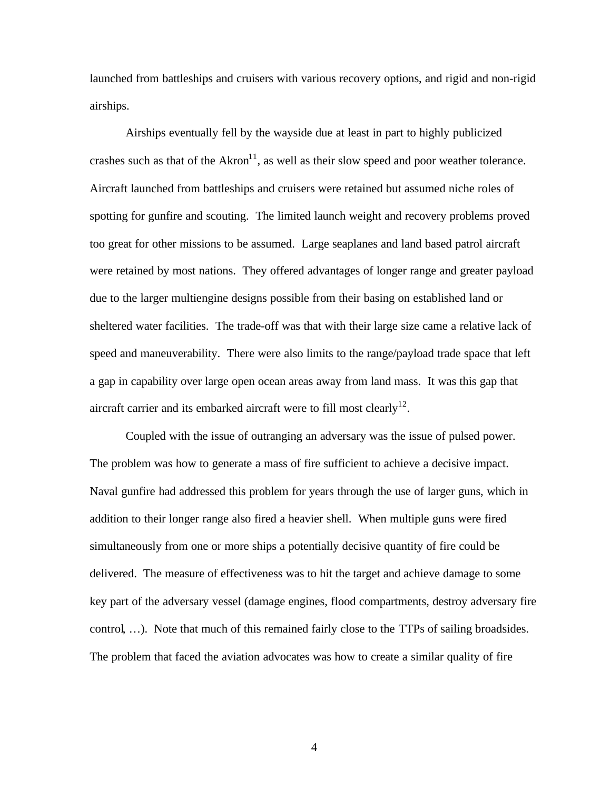launched from battleships and cruisers with various recovery options, and rigid and non-rigid airships.

Airships eventually fell by the wayside due at least in part to highly publicized crashes such as that of the  $Akron<sup>11</sup>$ , as well as their slow speed and poor weather tolerance. Aircraft launched from battleships and cruisers were retained but assumed niche roles of spotting for gunfire and scouting. The limited launch weight and recovery problems proved too great for other missions to be assumed. Large seaplanes and land based patrol aircraft were retained by most nations. They offered advantages of longer range and greater payload due to the larger multiengine designs possible from their basing on established land or sheltered water facilities. The trade-off was that with their large size came a relative lack of speed and maneuverability. There were also limits to the range/payload trade space that left a gap in capability over large open ocean areas away from land mass. It was this gap that aircraft carrier and its embarked aircraft were to fill most clearly<sup>12</sup>.

Coupled with the issue of outranging an adversary was the issue of pulsed power. The problem was how to generate a mass of fire sufficient to achieve a decisive impact. Naval gunfire had addressed this problem for years through the use of larger guns, which in addition to their longer range also fired a heavier shell. When multiple guns were fired simultaneously from one or more ships a potentially decisive quantity of fire could be delivered. The measure of effectiveness was to hit the target and achieve damage to some key part of the adversary vessel (damage engines, flood compartments, destroy adversary fire control, …). Note that much of this remained fairly close to the TTPs of sailing broadsides. The problem that faced the aviation advocates was how to create a similar quality of fire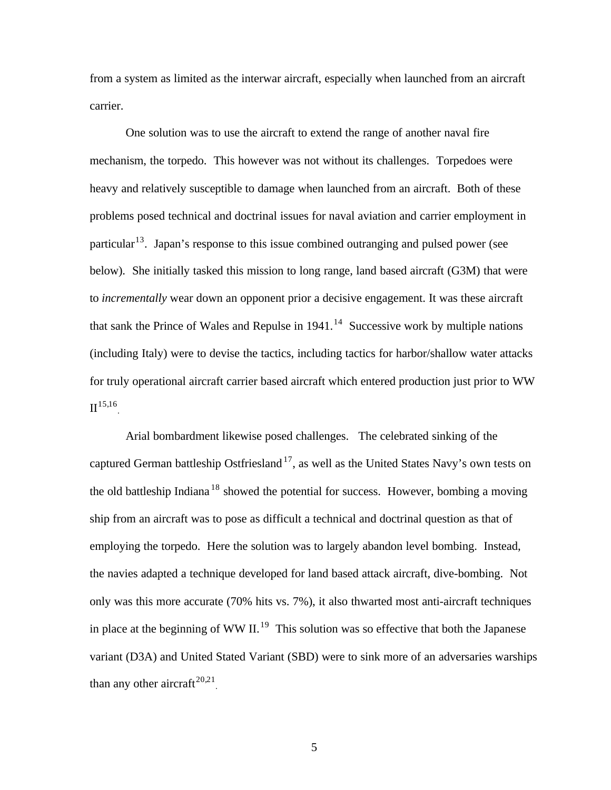from a system as limited as the interwar aircraft, especially when launched from an aircraft carrier.

One solution was to use the aircraft to extend the range of another naval fire mechanism, the torpedo. This however was not without its challenges. Torpedoes were heavy and relatively susceptible to damage when launched from an aircraft. Both of these problems posed technical and doctrinal issues for naval aviation and carrier employment in particular<sup>13</sup>. Japan's response to this issue combined outranging and pulsed power (see below). She initially tasked this mission to long range, land based aircraft (G3M) that were to *incrementally* wear down an opponent prior a decisive engagement. It was these aircraft that sank the Prince of Wales and Repulse in  $1941<sup>14</sup>$  Successive work by multiple nations (including Italy) were to devise the tactics, including tactics for harbor/shallow water attacks for truly operational aircraft carrier based aircraft which entered production just prior to WW  $\mathbf{II}^{15,16}$ .

Arial bombardment likewise posed challenges. The celebrated sinking of the captured German battleship Ostfriesland<sup>17</sup>, as well as the United States Navy's own tests on the old battleship Indiana<sup>18</sup> showed the potential for success. However, bombing a moving ship from an aircraft was to pose as difficult a technical and doctrinal question as that of employing the torpedo. Here the solution was to largely abandon level bombing. Instead, the navies adapted a technique developed for land based attack aircraft, dive-bombing. Not only was this more accurate (70% hits vs. 7%), it also thwarted most anti-aircraft techniques in place at the beginning of WW II.<sup>19</sup> This solution was so effective that both the Japanese variant (D3A) and United Stated Variant (SBD) were to sink more of an adversaries warships than any other aircraft<sup>20,21</sup>.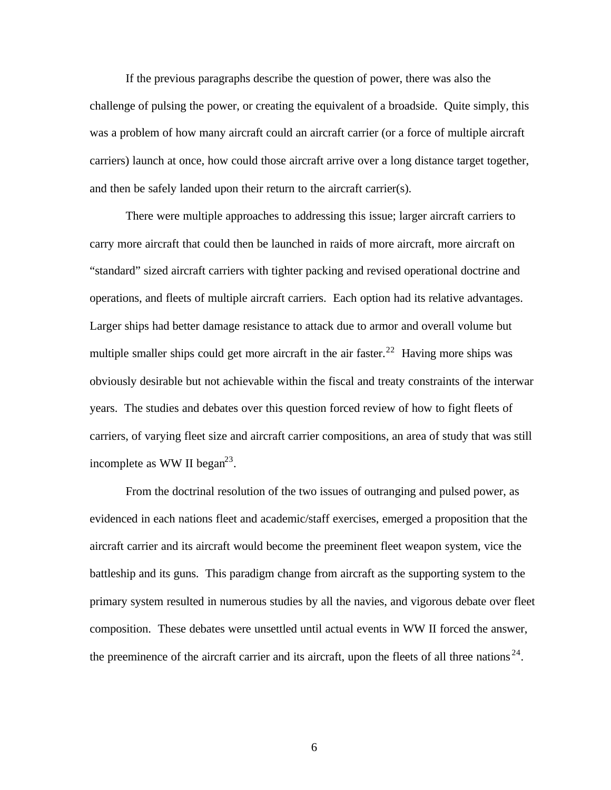If the previous paragraphs describe the question of power, there was also the challenge of pulsing the power, or creating the equivalent of a broadside. Quite simply, this was a problem of how many aircraft could an aircraft carrier (or a force of multiple aircraft carriers) launch at once, how could those aircraft arrive over a long distance target together, and then be safely landed upon their return to the aircraft carrier(s).

There were multiple approaches to addressing this issue; larger aircraft carriers to carry more aircraft that could then be launched in raids of more aircraft, more aircraft on "standard" sized aircraft carriers with tighter packing and revised operational doctrine and operations, and fleets of multiple aircraft carriers. Each option had its relative advantages. Larger ships had better damage resistance to attack due to armor and overall volume but multiple smaller ships could get more aircraft in the air faster.<sup>22</sup> Having more ships was obviously desirable but not achievable within the fiscal and treaty constraints of the interwar years. The studies and debates over this question forced review of how to fight fleets of carriers, of varying fleet size and aircraft carrier compositions, an area of study that was still incomplete as WW II began<sup>23</sup>.

From the doctrinal resolution of the two issues of outranging and pulsed power, as evidenced in each nations fleet and academic/staff exercises, emerged a proposition that the aircraft carrier and its aircraft would become the preeminent fleet weapon system, vice the battleship and its guns. This paradigm change from aircraft as the supporting system to the primary system resulted in numerous studies by all the navies, and vigorous debate over fleet composition. These debates were unsettled until actual events in WW II forced the answer, the preeminence of the aircraft carrier and its aircraft, upon the fleets of all three nations<sup>24</sup>.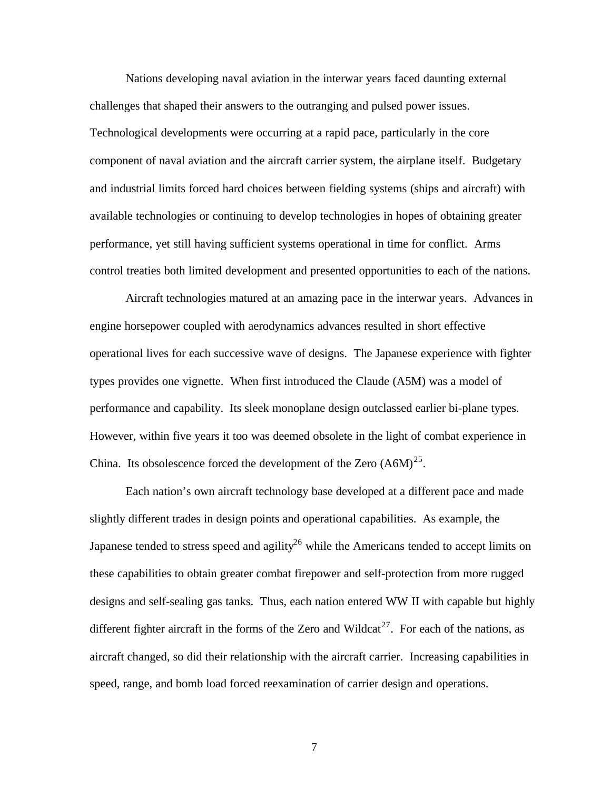Nations developing naval aviation in the interwar years faced daunting external challenges that shaped their answers to the outranging and pulsed power issues. Technological developments were occurring at a rapid pace, particularly in the core component of naval aviation and the aircraft carrier system, the airplane itself. Budgetary and industrial limits forced hard choices between fielding systems (ships and aircraft) with available technologies or continuing to develop technologies in hopes of obtaining greater performance, yet still having sufficient systems operational in time for conflict. Arms control treaties both limited development and presented opportunities to each of the nations.

Aircraft technologies matured at an amazing pace in the interwar years. Advances in engine horsepower coupled with aerodynamics advances resulted in short effective operational lives for each successive wave of designs. The Japanese experience with fighter types provides one vignette. When first introduced the Claude (A5M) was a model of performance and capability. Its sleek monoplane design outclassed earlier bi-plane types. However, within five years it too was deemed obsolete in the light of combat experience in China. Its obsolescence forced the development of the Zero  $(A6M)^{25}$ .

Each nation's own aircraft technology base developed at a different pace and made slightly different trades in design points and operational capabilities. As example, the Japanese tended to stress speed and agility<sup>26</sup> while the Americans tended to accept limits on these capabilities to obtain greater combat firepower and self-protection from more rugged designs and self-sealing gas tanks. Thus, each nation entered WW II with capable but highly different fighter aircraft in the forms of the Zero and Wildcat<sup>27</sup>. For each of the nations, as aircraft changed, so did their relationship with the aircraft carrier. Increasing capabilities in speed, range, and bomb load forced reexamination of carrier design and operations.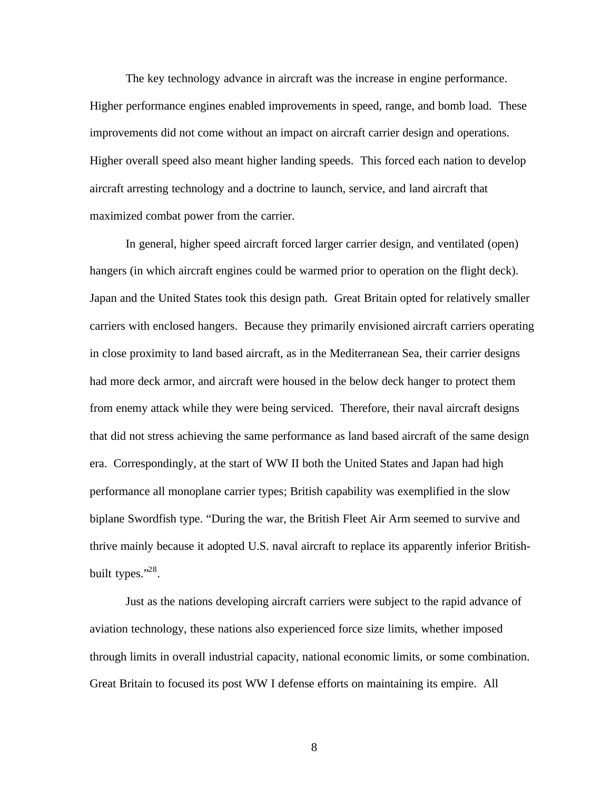The key technology advance in aircraft was the increase in engine performance. Higher performance engines enabled improvements in speed, range, and bomb load. These improvements did not come without an impact on aircraft carrier design and operations. Higher overall speed also meant higher landing speeds. This forced each nation to develop aircraft arresting technology and a doctrine to launch, service, and land aircraft that maximized combat power from the carrier.

In general, higher speed aircraft forced larger carrier design, and ventilated (open) hangers (in which aircraft engines could be warmed prior to operation on the flight deck). Japan and the United States took this design path. Great Britain opted for relatively smaller carriers with enclosed hangers. Because they primarily envisioned aircraft carriers operating in close proximity to land based aircraft, as in the Mediterranean Sea, their carrier designs had more deck armor, and aircraft were housed in the below deck hanger to protect them from enemy attack while they were being serviced. Therefore, their naval aircraft designs that did not stress achieving the same performance as land based aircraft of the same design era. Correspondingly, at the start of WW II both the United States and Japan had high performance all monoplane carrier types; British capability was exemplified in the slow biplane Swordfish type. "During the war, the British Fleet Air Arm seemed to survive and thrive mainly because it adopted U.S. naval aircraft to replace its apparently inferior Britishbuilt types."<sup>28</sup>.

Just as the nations developing aircraft carriers were subject to the rapid advance of aviation technology, these nations also experienced force size limits, whether imposed through limits in overall industrial capacity, national economic limits, or some combination. Great Britain to focused its post WW I defense efforts on maintaining its empire. All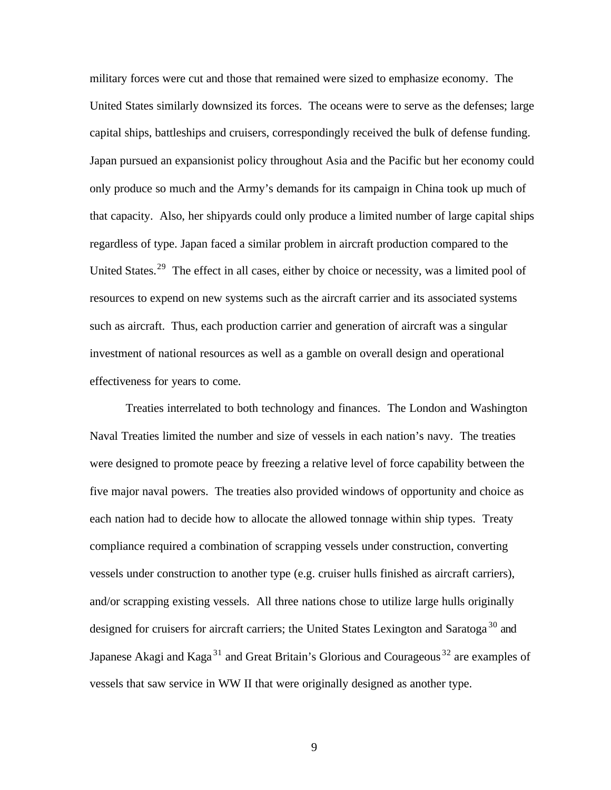military forces were cut and those that remained were sized to emphasize economy. The United States similarly downsized its forces. The oceans were to serve as the defenses; large capital ships, battleships and cruisers, correspondingly received the bulk of defense funding. Japan pursued an expansionist policy throughout Asia and the Pacific but her economy could only produce so much and the Army's demands for its campaign in China took up much of that capacity. Also, her shipyards could only produce a limited number of large capital ships regardless of type. Japan faced a similar problem in aircraft production compared to the United States.<sup>29</sup> The effect in all cases, either by choice or necessity, was a limited pool of resources to expend on new systems such as the aircraft carrier and its associated systems such as aircraft. Thus, each production carrier and generation of aircraft was a singular investment of national resources as well as a gamble on overall design and operational effectiveness for years to come.

Treaties interrelated to both technology and finances. The London and Washington Naval Treaties limited the number and size of vessels in each nation's navy. The treaties were designed to promote peace by freezing a relative level of force capability between the five major naval powers. The treaties also provided windows of opportunity and choice as each nation had to decide how to allocate the allowed tonnage within ship types. Treaty compliance required a combination of scrapping vessels under construction, converting vessels under construction to another type (e.g. cruiser hulls finished as aircraft carriers), and/or scrapping existing vessels. All three nations chose to utilize large hulls originally designed for cruisers for aircraft carriers; the United States Lexington and Saratoga<sup>30</sup> and Japanese Akagi and Kaga<sup>31</sup> and Great Britain's Glorious and Courageous<sup>32</sup> are examples of vessels that saw service in WW II that were originally designed as another type.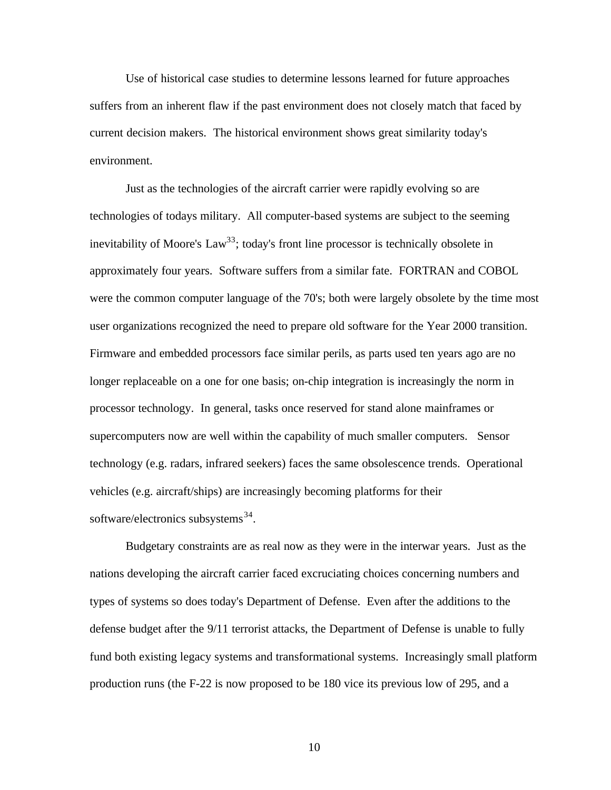Use of historical case studies to determine lessons learned for future approaches suffers from an inherent flaw if the past environment does not closely match that faced by current decision makers. The historical environment shows great similarity today's environment.

Just as the technologies of the aircraft carrier were rapidly evolving so are technologies of todays military. All computer-based systems are subject to the seeming inevitability of Moore's Law<sup>33</sup>; today's front line processor is technically obsolete in approximately four years. Software suffers from a similar fate. FORTRAN and COBOL were the common computer language of the 70's; both were largely obsolete by the time most user organizations recognized the need to prepare old software for the Year 2000 transition. Firmware and embedded processors face similar perils, as parts used ten years ago are no longer replaceable on a one for one basis; on-chip integration is increasingly the norm in processor technology. In general, tasks once reserved for stand alone mainframes or supercomputers now are well within the capability of much smaller computers. Sensor technology (e.g. radars, infrared seekers) faces the same obsolescence trends. Operational vehicles (e.g. aircraft/ships) are increasingly becoming platforms for their software/electronics subsystems<sup>34</sup>.

Budgetary constraints are as real now as they were in the interwar years. Just as the nations developing the aircraft carrier faced excruciating choices concerning numbers and types of systems so does today's Department of Defense. Even after the additions to the defense budget after the 9/11 terrorist attacks, the Department of Defense is unable to fully fund both existing legacy systems and transformational systems. Increasingly small platform production runs (the F-22 is now proposed to be 180 vice its previous low of 295, and a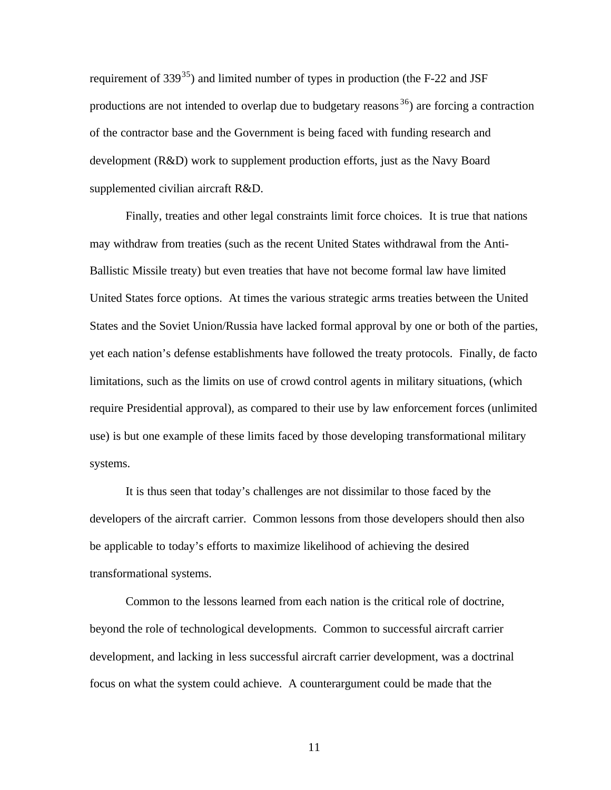requirement of  $339^{35}$ ) and limited number of types in production (the F-22 and JSF productions are not intended to overlap due to budgetary reasons  $36$ ) are forcing a contraction of the contractor base and the Government is being faced with funding research and development (R&D) work to supplement production efforts, just as the Navy Board supplemented civilian aircraft R&D.

Finally, treaties and other legal constraints limit force choices. It is true that nations may withdraw from treaties (such as the recent United States withdrawal from the Anti-Ballistic Missile treaty) but even treaties that have not become formal law have limited United States force options. At times the various strategic arms treaties between the United States and the Soviet Union/Russia have lacked formal approval by one or both of the parties, yet each nation's defense establishments have followed the treaty protocols. Finally, de facto limitations, such as the limits on use of crowd control agents in military situations, (which require Presidential approval), as compared to their use by law enforcement forces (unlimited use) is but one example of these limits faced by those developing transformational military systems.

It is thus seen that today's challenges are not dissimilar to those faced by the developers of the aircraft carrier. Common lessons from those developers should then also be applicable to today's efforts to maximize likelihood of achieving the desired transformational systems.

Common to the lessons learned from each nation is the critical role of doctrine, beyond the role of technological developments. Common to successful aircraft carrier development, and lacking in less successful aircraft carrier development, was a doctrinal focus on what the system could achieve. A counterargument could be made that the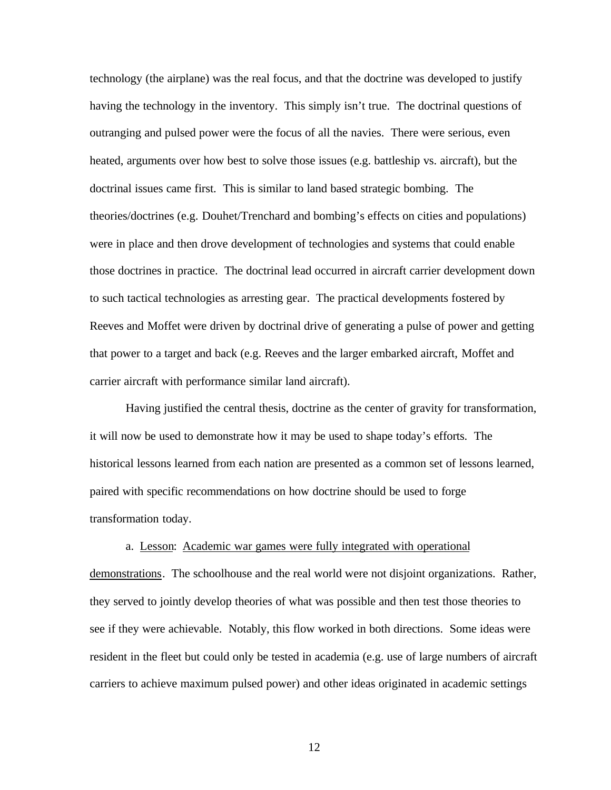technology (the airplane) was the real focus, and that the doctrine was developed to justify having the technology in the inventory. This simply isn't true. The doctrinal questions of outranging and pulsed power were the focus of all the navies. There were serious, even heated, arguments over how best to solve those issues (e.g. battleship vs. aircraft), but the doctrinal issues came first. This is similar to land based strategic bombing. The theories/doctrines (e.g. Douhet/Trenchard and bombing's effects on cities and populations) were in place and then drove development of technologies and systems that could enable those doctrines in practice. The doctrinal lead occurred in aircraft carrier development down to such tactical technologies as arresting gear. The practical developments fostered by Reeves and Moffet were driven by doctrinal drive of generating a pulse of power and getting that power to a target and back (e.g. Reeves and the larger embarked aircraft, Moffet and carrier aircraft with performance similar land aircraft).

Having justified the central thesis, doctrine as the center of gravity for transformation, it will now be used to demonstrate how it may be used to shape today's efforts. The historical lessons learned from each nation are presented as a common set of lessons learned, paired with specific recommendations on how doctrine should be used to forge transformation today.

## a. Lesson: Academic war games were fully integrated with operational

demonstrations. The schoolhouse and the real world were not disjoint organizations. Rather, they served to jointly develop theories of what was possible and then test those theories to see if they were achievable. Notably, this flow worked in both directions. Some ideas were resident in the fleet but could only be tested in academia (e.g. use of large numbers of aircraft carriers to achieve maximum pulsed power) and other ideas originated in academic settings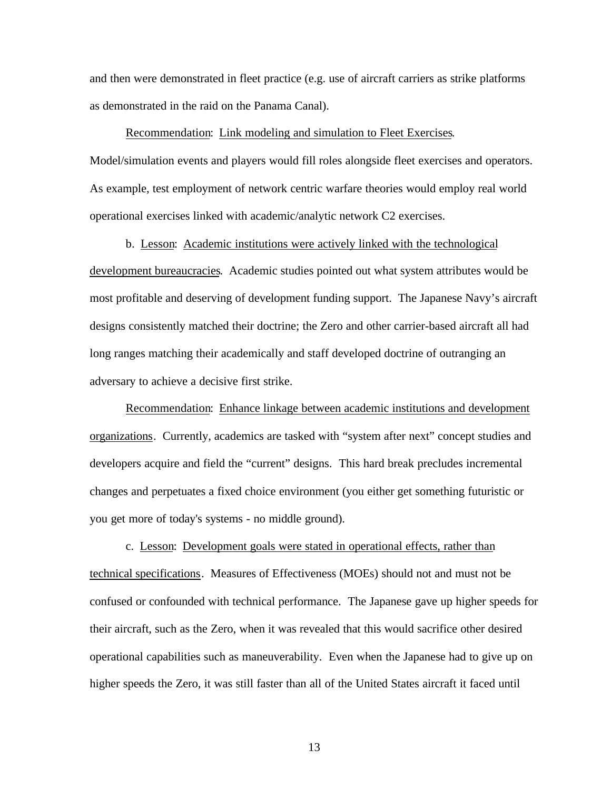and then were demonstrated in fleet practice (e.g. use of aircraft carriers as strike platforms as demonstrated in the raid on the Panama Canal).

#### Recommendation: Link modeling and simulation to Fleet Exercises.

Model/simulation events and players would fill roles alongside fleet exercises and operators. As example, test employment of network centric warfare theories would employ real world operational exercises linked with academic/analytic network C2 exercises.

b. Lesson: Academic institutions were actively linked with the technological development bureaucracies. Academic studies pointed out what system attributes would be most profitable and deserving of development funding support. The Japanese Navy's aircraft designs consistently matched their doctrine; the Zero and other carrier-based aircraft all had long ranges matching their academically and staff developed doctrine of outranging an adversary to achieve a decisive first strike.

Recommendation: Enhance linkage between academic institutions and development organizations. Currently, academics are tasked with "system after next" concept studies and developers acquire and field the "current" designs. This hard break precludes incremental changes and perpetuates a fixed choice environment (you either get something futuristic or you get more of today's systems - no middle ground).

c. Lesson: Development goals were stated in operational effects, rather than technical specifications. Measures of Effectiveness (MOEs) should not and must not be confused or confounded with technical performance. The Japanese gave up higher speeds for their aircraft, such as the Zero, when it was revealed that this would sacrifice other desired operational capabilities such as maneuverability. Even when the Japanese had to give up on higher speeds the Zero, it was still faster than all of the United States aircraft it faced until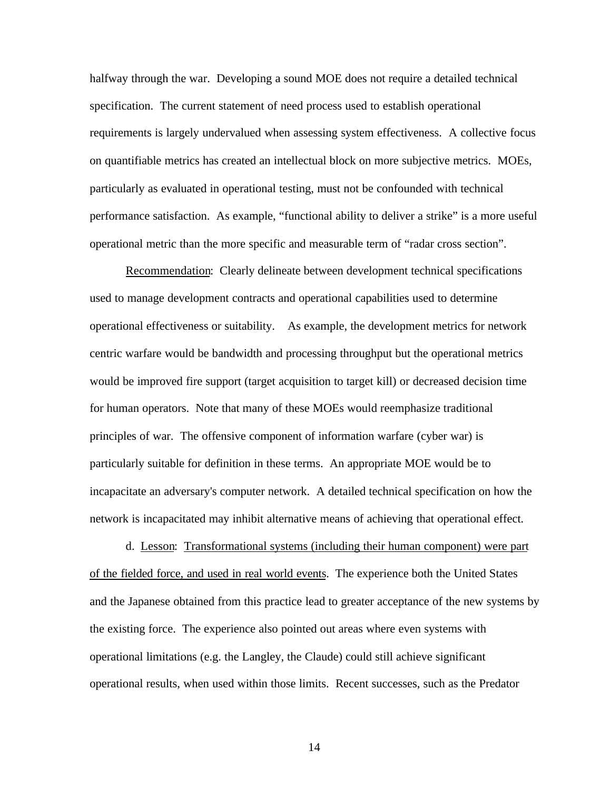halfway through the war. Developing a sound MOE does not require a detailed technical specification. The current statement of need process used to establish operational requirements is largely undervalued when assessing system effectiveness. A collective focus on quantifiable metrics has created an intellectual block on more subjective metrics. MOEs, particularly as evaluated in operational testing, must not be confounded with technical performance satisfaction. As example, "functional ability to deliver a strike" is a more useful operational metric than the more specific and measurable term of "radar cross section".

Recommendation: Clearly delineate between development technical specifications used to manage development contracts and operational capabilities used to determine operational effectiveness or suitability. As example, the development metrics for network centric warfare would be bandwidth and processing throughput but the operational metrics would be improved fire support (target acquisition to target kill) or decreased decision time for human operators. Note that many of these MOEs would reemphasize traditional principles of war. The offensive component of information warfare (cyber war) is particularly suitable for definition in these terms. An appropriate MOE would be to incapacitate an adversary's computer network. A detailed technical specification on how the network is incapacitated may inhibit alternative means of achieving that operational effect.

d. Lesson: Transformational systems (including their human component) were part of the fielded force, and used in real world events. The experience both the United States and the Japanese obtained from this practice lead to greater acceptance of the new systems by the existing force. The experience also pointed out areas where even systems with operational limitations (e.g. the Langley, the Claude) could still achieve significant operational results, when used within those limits. Recent successes, such as the Predator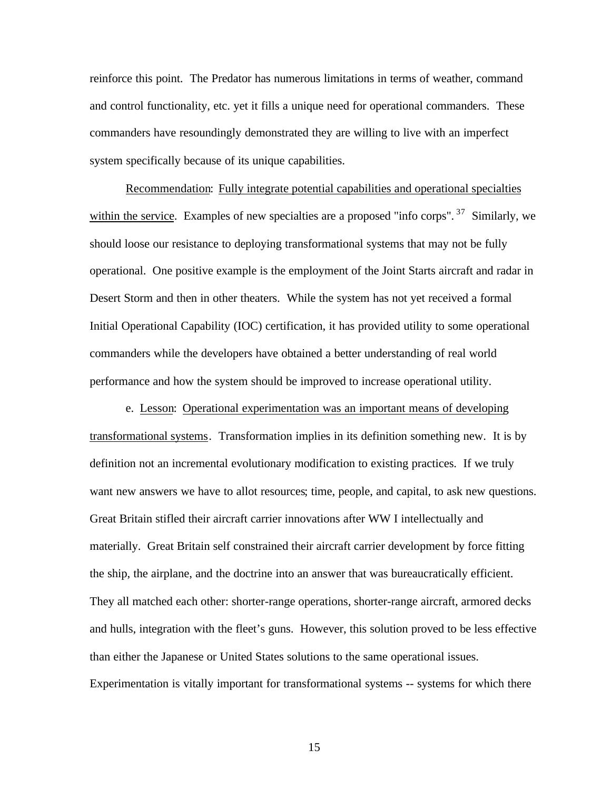reinforce this point. The Predator has numerous limitations in terms of weather, command and control functionality, etc. yet it fills a unique need for operational commanders. These commanders have resoundingly demonstrated they are willing to live with an imperfect system specifically because of its unique capabilities.

Recommendation: Fully integrate potential capabilities and operational specialties within the service. Examples of new specialties are a proposed "info corps". <sup>37</sup> Similarly, we should loose our resistance to deploying transformational systems that may not be fully operational. One positive example is the employment of the Joint Starts aircraft and radar in Desert Storm and then in other theaters. While the system has not yet received a formal Initial Operational Capability (IOC) certification, it has provided utility to some operational commanders while the developers have obtained a better understanding of real world performance and how the system should be improved to increase operational utility.

e. Lesson: Operational experimentation was an important means of developing transformational systems. Transformation implies in its definition something new. It is by definition not an incremental evolutionary modification to existing practices. If we truly want new answers we have to allot resources; time, people, and capital, to ask new questions. Great Britain stifled their aircraft carrier innovations after WW I intellectually and materially. Great Britain self constrained their aircraft carrier development by force fitting the ship, the airplane, and the doctrine into an answer that was bureaucratically efficient. They all matched each other: shorter-range operations, shorter-range aircraft, armored decks and hulls, integration with the fleet's guns. However, this solution proved to be less effective than either the Japanese or United States solutions to the same operational issues. Experimentation is vitally important for transformational systems -- systems for which there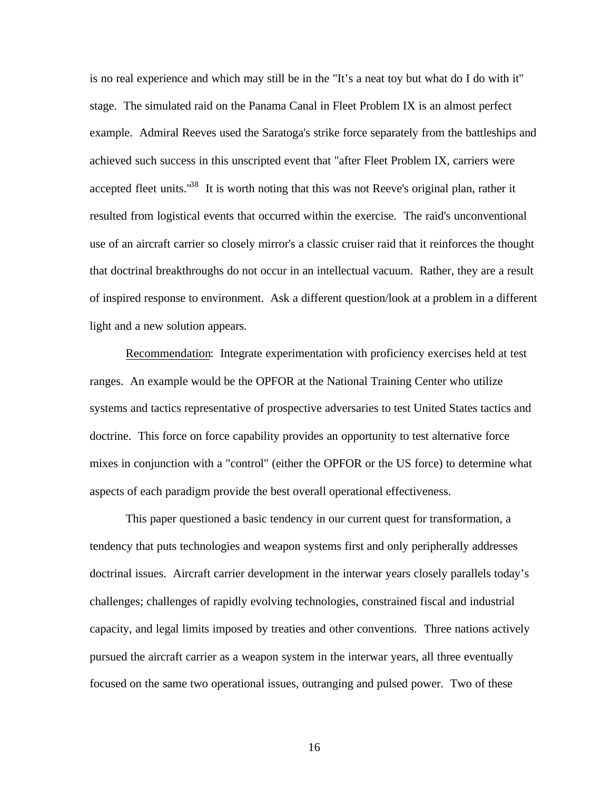is no real experience and which may still be in the "It's a neat toy but what do I do with it" stage. The simulated raid on the Panama Canal in Fleet Problem IX is an almost perfect example. Admiral Reeves used the Saratoga's strike force separately from the battleships and achieved such success in this unscripted event that "after Fleet Problem IX, carriers were accepted fleet units.<sup>38</sup> It is worth noting that this was not Reeve's original plan, rather it resulted from logistical events that occurred within the exercise. The raid's unconventional use of an aircraft carrier so closely mirror's a classic cruiser raid that it reinforces the thought that doctrinal breakthroughs do not occur in an intellectual vacuum. Rather, they are a result of inspired response to environment. Ask a different question/look at a problem in a different light and a new solution appears.

Recommendation: Integrate experimentation with proficiency exercises held at test ranges. An example would be the OPFOR at the National Training Center who utilize systems and tactics representative of prospective adversaries to test United States tactics and doctrine. This force on force capability provides an opportunity to test alternative force mixes in conjunction with a "control" (either the OPFOR or the US force) to determine what aspects of each paradigm provide the best overall operational effectiveness.

This paper questioned a basic tendency in our current quest for transformation, a tendency that puts technologies and weapon systems first and only peripherally addresses doctrinal issues. Aircraft carrier development in the interwar years closely parallels today's challenges; challenges of rapidly evolving technologies, constrained fiscal and industrial capacity, and legal limits imposed by treaties and other conventions. Three nations actively pursued the aircraft carrier as a weapon system in the interwar years, all three eventually focused on the same two operational issues, outranging and pulsed power. Two of these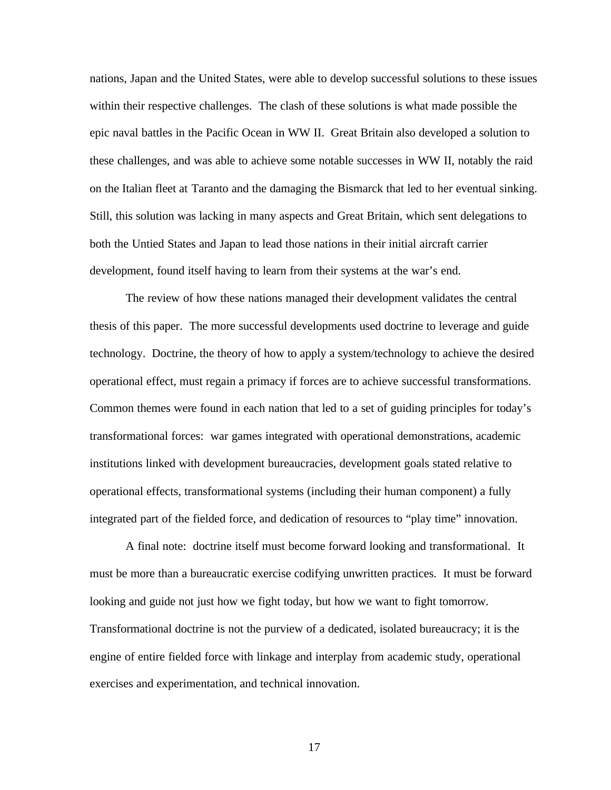nations, Japan and the United States, were able to develop successful solutions to these issues within their respective challenges. The clash of these solutions is what made possible the epic naval battles in the Pacific Ocean in WW II. Great Britain also developed a solution to these challenges, and was able to achieve some notable successes in WW II, notably the raid on the Italian fleet at Taranto and the damaging the Bismarck that led to her eventual sinking. Still, this solution was lacking in many aspects and Great Britain, which sent delegations to both the Untied States and Japan to lead those nations in their initial aircraft carrier development, found itself having to learn from their systems at the war's end.

The review of how these nations managed their development validates the central thesis of this paper. The more successful developments used doctrine to leverage and guide technology. Doctrine, the theory of how to apply a system/technology to achieve the desired operational effect, must regain a primacy if forces are to achieve successful transformations. Common themes were found in each nation that led to a set of guiding principles for today's transformational forces: war games integrated with operational demonstrations, academic institutions linked with development bureaucracies, development goals stated relative to operational effects, transformational systems (including their human component) a fully integrated part of the fielded force, and dedication of resources to "play time" innovation.

A final note: doctrine itself must become forward looking and transformational. It must be more than a bureaucratic exercise codifying unwritten practices. It must be forward looking and guide not just how we fight today, but how we want to fight tomorrow. Transformational doctrine is not the purview of a dedicated, isolated bureaucracy; it is the engine of entire fielded force with linkage and interplay from academic study, operational exercises and experimentation, and technical innovation.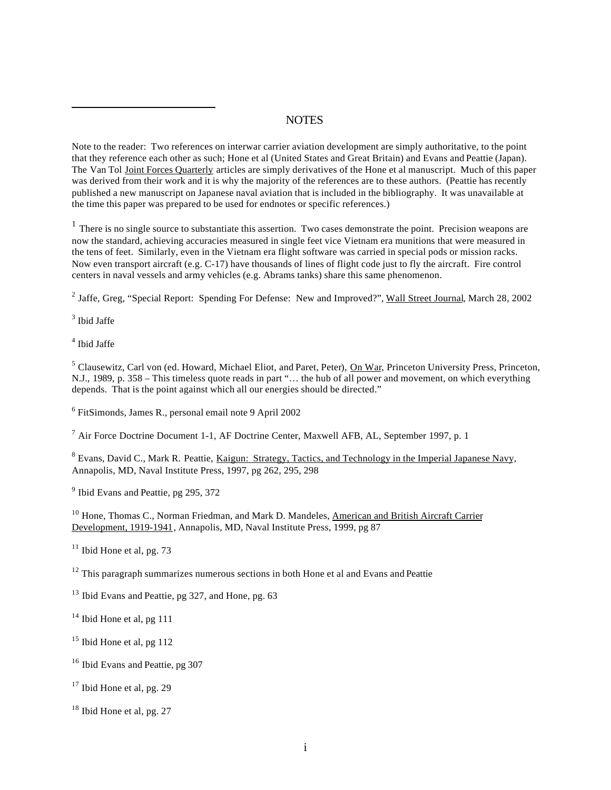### **NOTES**

Note to the reader: Two references on interwar carrier aviation development are simply authoritative, to the point that they reference each other as such; Hone et al (United States and Great Britain) and Evans and Peattie (Japan). The Van Tol Joint Forces Quarterly articles are simply derivatives of the Hone et al manuscript. Much of this paper was derived from their work and it is why the majority of the references are to these authors. (Peattie has recently published a new manuscript on Japanese naval aviation that is included in the bibliography. It was unavailable at the time this paper was prepared to be used for endnotes or specific references.)

 $<sup>1</sup>$  There is no single source to substantiate this assertion. Two cases demonstrate the point. Precision weapons are</sup> now the standard, achieving accuracies measured in single feet vice Vietnam era munitions that were measured in the tens of feet. Similarly, even in the Vietnam era flight software was carried in special pods or mission racks. Now even transport aircraft (e.g. C-17) have thousands of lines of flight code just to fly the aircraft. Fire control centers in naval vessels and army vehicles (e.g. Abrams tanks) share this same phenomenon.

<sup>2</sup> Jaffe, Greg, "Special Report: Spending For Defense: New and Improved?", Wall Street Journal, March 28, 2002

3 Ibid Jaffe

 $\overline{a}$ 

4 Ibid Jaffe

<sup>5</sup> Clausewitz, Carl von (ed. Howard, Michael Eliot, and Paret, Peter), **On War**, Princeton University Press, Princeton, N.J., 1989, p. 358 – This timeless quote reads in part "… the hub of all power and movement, on which everything depends. That is the point against which all our energies should be directed."

<sup>6</sup> FitSimonds, James R., personal email note 9 April 2002

<sup>7</sup> Air Force Doctrine Document 1-1, AF Doctrine Center, Maxwell AFB, AL, September 1997, p. 1

<sup>8</sup> Evans, David C., Mark R. Peattie, <u>Kaigun: Strategy, Tactics, and Technology in the Imperial Japanese Navy</u>, Annapolis, MD, Naval Institute Press, 1997, pg 262, 295, 298

<sup>9</sup> Ibid Evans and Peattie, pg 295, 372

<sup>10</sup> Hone, Thomas C., Norman Friedman, and Mark D. Mandeles, American and British Aircraft Carrier Development, 1919-1941, Annapolis, MD, Naval Institute Press, 1999, pg 87

 $11$  Ibid Hone et al, pg. 73

<sup>12</sup> This paragraph summarizes numerous sections in both Hone et al and Evans and Peattie

<sup>13</sup> Ibid Evans and Peattie, pg 327, and Hone, pg. 63

<sup>14</sup> Ibid Hone et al, pg 111

 $15$  Ibid Hone et al, pg 112

<sup>16</sup> Ibid Evans and Peattie, pg 307

 $17$  Ibid Hone et al, pg. 29

 $18$  Ibid Hone et al, pg. 27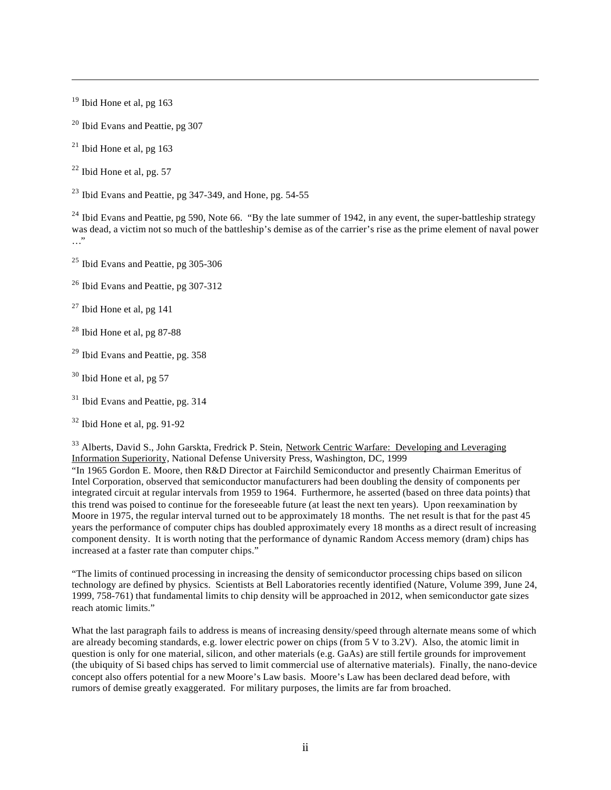$19$  Ibid Hone et al, pg 163

 $\overline{a}$ 

<sup>20</sup> Ibid Evans and Peattie, pg 307

 $^{21}$  Ibid Hone et al, pg 163

 $22$  Ibid Hone et al, pg. 57

 $23$  Ibid Evans and Peattie, pg 347-349, and Hone, pg. 54-55

<sup>24</sup> Ibid Evans and Peattie, pg 590, Note 66. "By the late summer of 1942, in any event, the super-battleship strategy was dead, a victim not so much of the battleship's demise as of the carrier's rise as the prime element of naval power …"

<sup>25</sup> Ibid Evans and Peattie, pg 305-306

<sup>26</sup> Ibid Evans and Peattie, pg 307-312

 $27$  Ibid Hone et al, pg 141

 $28$  Ibid Hone et al, pg 87-88

<sup>29</sup> Ibid Evans and Peattie, pg. 358

 $30$  Ibid Hone et al, pg 57

<sup>31</sup> Ibid Evans and Peattie, pg. 314

 $32$  Ibid Hone et al, pg. 91-92

<sup>33</sup> Alberts, David S., John Garskta, Fredrick P. Stein, Network Centric Warfare: Developing and Leveraging Information Superiority, National Defense University Press, Washington, DC, 1999

"In 1965 Gordon E. Moore, then R&D Director at Fairchild Semiconductor and presently Chairman Emeritus of Intel Corporation, observed that semiconductor manufacturers had been doubling the density of components per integrated circuit at regular intervals from 1959 to 1964. Furthermore, he asserted (based on three data points) that this trend was poised to continue for the foreseeable future (at least the next ten years). Upon reexamination by Moore in 1975, the regular interval turned out to be approximately 18 months. The net result is that for the past 45 years the performance of computer chips has doubled approximately every 18 months as a direct result of increasing component density. It is worth noting that the performance of dynamic Random Access memory (dram) chips has increased at a faster rate than computer chips."

"The limits of continued processing in increasing the density of semiconductor processing chips based on silicon technology are defined by physics. Scientists at Bell Laboratories recently identified (Nature, Volume 399, June 24, 1999, 758-761) that fundamental limits to chip density will be approached in 2012, when semiconductor gate sizes reach atomic limits."

What the last paragraph fails to address is means of increasing density/speed through alternate means some of which are already becoming standards, e.g. lower electric power on chips (from 5 V to 3.2V). Also, the atomic limit in question is only for one material, silicon, and other materials (e.g. GaAs) are still fertile grounds for improvement (the ubiquity of Si based chips has served to limit commercial use of alternative materials). Finally, the nano-device concept also offers potential for a new Moore's Law basis. Moore's Law has been declared dead before, with rumors of demise greatly exaggerated. For military purposes, the limits are far from broached.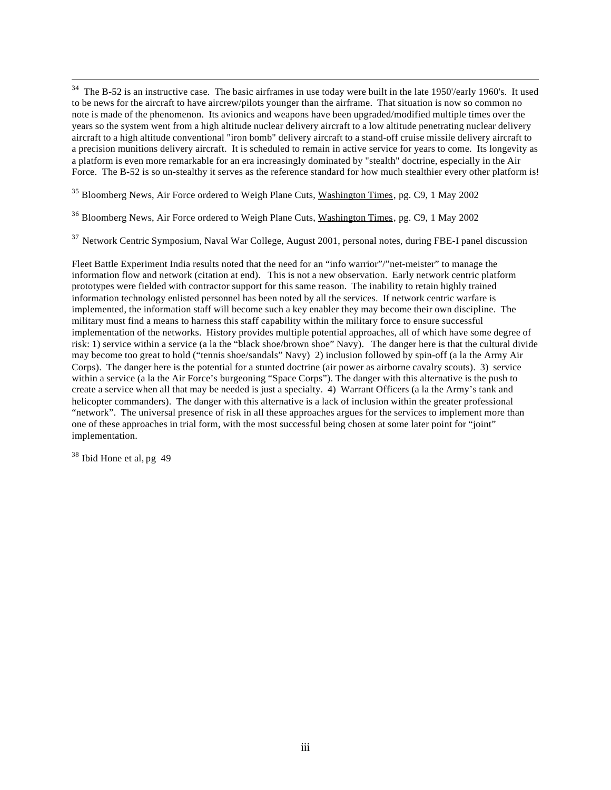<sup>34</sup> The B-52 is an instructive case. The basic airframes in use today were built in the late 1950'/early 1960's. It used to be news for the aircraft to have aircrew/pilots younger than the airframe. That situation is now so common no note is made of the phenomenon. Its avionics and weapons have been upgraded/modified multiple times over the years so the system went from a high altitude nuclear delivery aircraft to a low altitude penetrating nuclear delivery aircraft to a high altitude conventional "iron bomb" delivery aircraft to a stand-off cruise missile delivery aircraft to a precision munitions delivery aircraft. It is scheduled to remain in active service for years to come. Its longevity as a platform is even more remarkable for an era increasingly dominated by "stealth" doctrine, especially in the Air Force. The B-52 is so un-stealthy it serves as the reference standard for how much stealthier every other platform is!

<sup>35</sup> Bloomberg News, Air Force ordered to Weigh Plane Cuts, Washington Times, pg. C9, 1 May 2002

<sup>36</sup> Bloomberg News, Air Force ordered to Weigh Plane Cuts, Washington Times, pg. C9, 1 May 2002

<sup>37</sup> Network Centric Symposium, Naval War College, August 2001, personal notes, during FBE-I panel discussion

Fleet Battle Experiment India results noted that the need for an "info warrior"/"net-meister" to manage the information flow and network (citation at end). This is not a new observation. Early network centric platform prototypes were fielded with contractor support for this same reason. The inability to retain highly trained information technology enlisted personnel has been noted by all the services. If network centric warfare is implemented, the information staff will become such a key enabler they may become their own discipline. The military must find a means to harness this staff capability within the military force to ensure successful implementation of the networks. History provides multiple potential approaches, all of which have some degree of risk: 1) service within a service (a la the "black shoe/brown shoe" Navy). The danger here is that the cultural divide may become too great to hold ("tennis shoe/sandals" Navy) 2) inclusion followed by spin-off (a la the Army Air Corps). The danger here is the potential for a stunted doctrine (air power as airborne cavalry scouts). 3) service within a service (a la the Air Force's burgeoning "Space Corps"). The danger with this alternative is the push to create a service when all that may be needed is just a specialty. 4) Warrant Officers (a la the Army's tank and helicopter commanders). The danger with this alternative is a lack of inclusion within the greater professional "network". The universal presence of risk in all these approaches argues for the services to implement more than one of these approaches in trial form, with the most successful being chosen at some later point for "joint" implementation.

<sup>38</sup> Ibid Hone et al, pg 49

 $\overline{a}$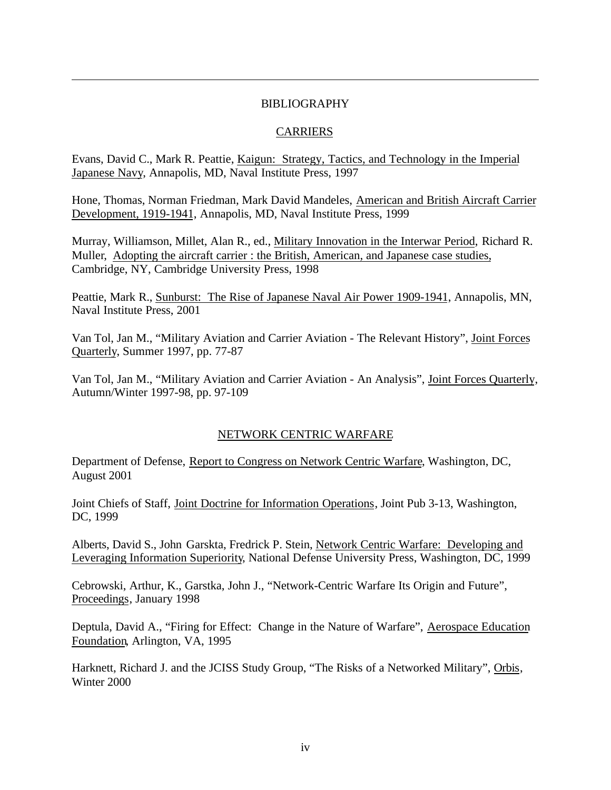## BIBLIOGRAPHY

 $\overline{a}$ 

# CARRIERS

Evans, David C., Mark R. Peattie, Kaigun: Strategy, Tactics, and Technology in the Imperial Japanese Navy, Annapolis, MD, Naval Institute Press, 1997

Hone, Thomas, Norman Friedman, Mark David Mandeles, American and British Aircraft Carrier Development, 1919-1941, Annapolis, MD, Naval Institute Press, 1999

Murray, Williamson, Millet, Alan R., ed., Military Innovation in the Interwar Period, Richard R. Muller, Adopting the aircraft carrier : the British, American, and Japanese case studies, Cambridge, NY, Cambridge University Press, 1998

Peattie, Mark R., Sunburst: The Rise of Japanese Naval Air Power 1909-1941, Annapolis, MN, Naval Institute Press, 2001

Van Tol, Jan M., "Military Aviation and Carrier Aviation - The Relevant History", Joint Forces Quarterly, Summer 1997, pp. 77-87

Van Tol, Jan M., "Military Aviation and Carrier Aviation - An Analysis", Joint Forces Quarterly, Autumn/Winter 1997-98, pp. 97-109

# NETWORK CENTRIC WARFARE

Department of Defense, Report to Congress on Network Centric Warfare, Washington, DC, August 2001

Joint Chiefs of Staff, Joint Doctrine for Information Operations, Joint Pub 3-13, Washington, DC, 1999

Alberts, David S., John Garskta, Fredrick P. Stein, Network Centric Warfare: Developing and Leveraging Information Superiority, National Defense University Press, Washington, DC, 1999

Cebrowski, Arthur, K., Garstka, John J., "Network-Centric Warfare Its Origin and Future", Proceedings, January 1998

Deptula, David A., "Firing for Effect: Change in the Nature of Warfare", Aerospace Education Foundation, Arlington, VA, 1995

Harknett, Richard J. and the JCISS Study Group, "The Risks of a Networked Military", Orbis, Winter 2000